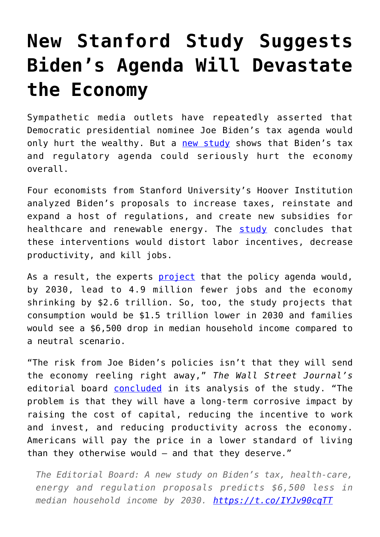## **[New Stanford Study Suggests](https://intellectualtakeout.org/2020/10/new-stanford-study-suggests-bidens-agenda-will-devastate-the-economy/) [Biden's Agenda Will Devastate](https://intellectualtakeout.org/2020/10/new-stanford-study-suggests-bidens-agenda-will-devastate-the-economy/) [the Economy](https://intellectualtakeout.org/2020/10/new-stanford-study-suggests-bidens-agenda-will-devastate-the-economy/)**

Sympathetic media outlets have repeatedly asserted that Democratic presidential nominee Joe Biden's tax agenda would only hurt the wealthy. But a [new study](https://www.hoover.org/sites/default/files/research/docs/president_bidens_economic_agenda_hassett.pdf) shows that Biden's tax and regulatory agenda could seriously hurt the economy overall.

Four economists from Stanford University's Hoover Institution analyzed Biden's proposals to increase taxes, reinstate and expand a host of regulations, and create new subsidies for healthcare and renewable energy. The [study](https://www.hoover.org/sites/default/files/research/docs/president_bidens_economic_agenda_hassett.pdf) concludes that these interventions would distort labor incentives, decrease productivity, and kill jobs.

As a result, the experts [project](https://www.hoover.org/sites/default/files/research/docs/president_bidens_economic_agenda_hassett.pdf) that the policy agenda would, by 2030, lead to 4.9 million fewer jobs and the economy shrinking by \$2.6 trillion. So, too, the study projects that consumption would be \$1.5 trillion lower in 2030 and families would see a \$6,500 drop in median household income compared to a neutral scenario.

"The risk from Joe Biden's policies isn't that they will send the economy reeling right away," *The Wall Street Journal's* editorial board [concluded](https://www.wsj.com/articles/the-cost-of-bidenomics-11603055037?mod=MorningEditorialReport&mod=djemMER_h) in its analysis of the study. "The problem is that they will have a long-term corrosive impact by raising the cost of capital, reducing the incentive to work and invest, and reducing productivity across the economy. Americans will pay the price in a lower standard of living than they otherwise would – and that they deserve."

*The Editorial Board: A new study on Biden's tax, health-care, energy and regulation proposals predicts \$6,500 less in median household income by 2030.<https://t.co/IYJv90cqTT>*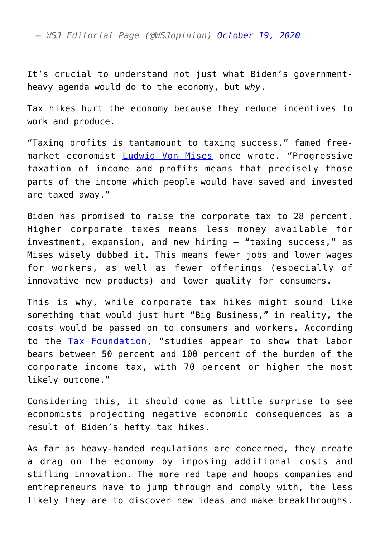*— WSJ Editorial Page (@WSJopinion) [October 19, 2020](https://twitter.com/WSJopinion/status/1318153611730444288?ref_src=twsrc%5Etfw)*

It's crucial to understand not just what Biden's governmentheavy agenda would do to the economy, but *why*.

Tax hikes hurt the economy because they reduce incentives to work and produce.

"Taxing profits is tantamount to taxing success," famed freemarket economist [Ludwig Von Mises](https://fee.org/resources/ludwig-von-mises/) once wrote. "Progressive taxation of income and profits means that precisely those parts of the income which people would have saved and invested are taxed away."

Biden has promised to raise the corporate tax to 28 percent. Higher corporate taxes means less money available for investment, expansion, and new hiring – "taxing success," as Mises wisely dubbed it. This means fewer jobs and lower wages for workers, as well as fewer offerings (especially of innovative new products) and lower quality for consumers.

This is why, while corporate tax hikes might sound like something that would just hurt "Big Business," in reality, the costs would be passed on to consumers and workers. According to the [Tax Foundation](https://taxfoundation.org/labor-bears-corporate-tax/#_ftn6), "studies appear to show that labor bears between 50 percent and 100 percent of the burden of the corporate income tax, with 70 percent or higher the most likely outcome."

Considering this, it should come as little surprise to see economists projecting negative economic consequences as a result of Biden's hefty tax hikes.

As far as heavy-handed regulations are concerned, they create a drag on the economy by imposing additional costs and stifling innovation. The more red tape and hoops companies and entrepreneurs have to jump through and comply with, the less likely they are to discover new ideas and make breakthroughs.